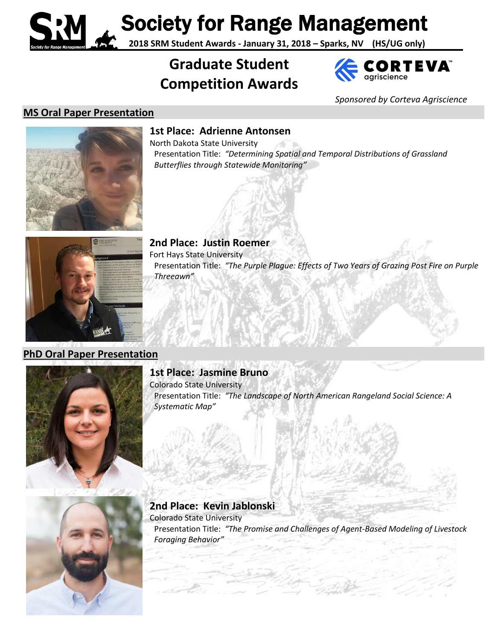Society for Range Management

**2018 SRM Student Awards - January 31, 2018 – Sparks, NV (HS/UG only)**

# **Graduate Student Competition Awards**



*Sponsored by Corteva Agriscience*

## **MS Oral Paper Presentation**



**1st Place: Adrienne Antonsen**

North Dakota State University Presentation Title: *"Determining Spatial and Temporal Distributions of Grassland Butterflies through Statewide Monitoring"*



**2nd Place: Justin Roemer** Fort Hays State University Presentation Title: *"The Purple Plague: Effects of Two Years of Grazing Post Fire on Purple Threeawn"*

### **PhD Oral Paper Presentation**



### **1st Place: Jasmine Bruno**

Colorado State University Presentation Title: *"The Landscape of North American Rangeland Social Science: A Systematic Map"*



### **2nd Place: Kevin Jablonski**

Colorado State University Presentation Title: *"The Promise and Challenges of Agent‐Based Modeling of Livestock Foraging Behavior"*